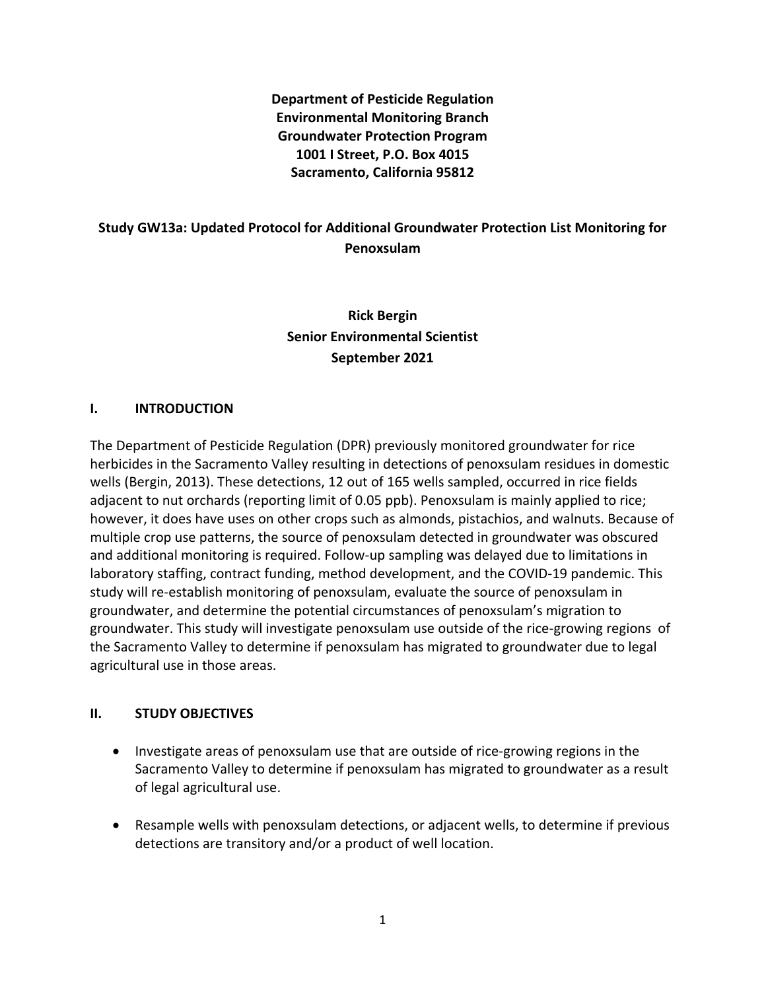**Department of Pesticide Regulation Environmental Monitoring Branch Groundwater Protection Program 1001 I Street, P.O. Box 4015 Sacramento, California 95812**

## **Study GW13a: Updated Protocol for Additional Groundwater Protection List Monitoring for Penoxsulam**

# **Rick Bergin Senior Environmental Scientist September 2021**

#### **I. INTRODUCTION**

The Department of Pesticide Regulation (DPR) previously monitored groundwater for rice herbicides in the Sacramento Valley resulting in detections of penoxsulam residues in domestic wells (Bergin, 2013). These detections, 12 out of 165 wells sampled, occurred in rice fields adjacent to nut orchards (reporting limit of 0.05 ppb). Penoxsulam is mainly applied to rice; however, it does have uses on other crops such as almonds, pistachios, and walnuts. Because of multiple crop use patterns, the source of penoxsulam detected in groundwater was obscured and additional monitoring is required. Follow-up sampling was delayed due to limitations in laboratory staffing, contract funding, method development, and the COVID-19 pandemic. This study will re-establish monitoring of penoxsulam, evaluate the source of penoxsulam in groundwater, and determine the potential circumstances of penoxsulam's migration to groundwater. This study will investigate penoxsulam use outside of the rice-growing regions of the Sacramento Valley to determine if penoxsulam has migrated to groundwater due to legal agricultural use in those areas.

#### **II. STUDY OBJECTIVES**

- Investigate areas of penoxsulam use that are outside of rice-growing regions in the Sacramento Valley to determine if penoxsulam has migrated to groundwater as a result of legal agricultural use.
- Resample wells with penoxsulam detections, or adjacent wells, to determine if previous detections are transitory and/or a product of well location.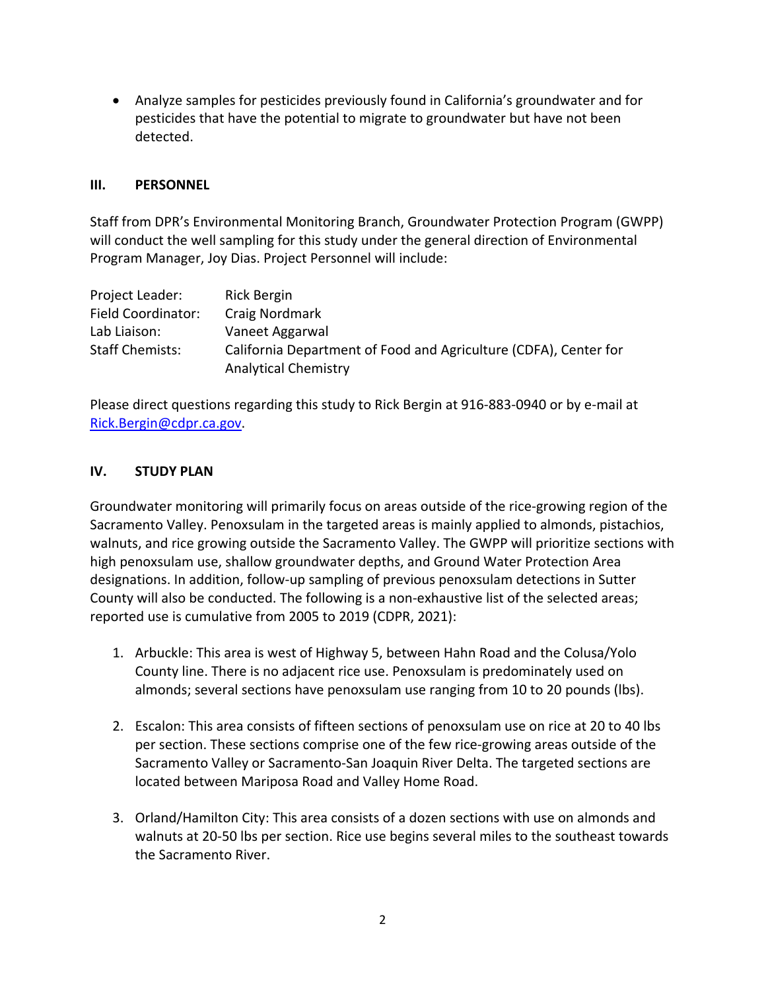• Analyze samples for pesticides previously found in California's groundwater and for pesticides that have the potential to migrate to groundwater but have not been detected.

#### **III. PERSONNEL**

Staff from DPR's Environmental Monitoring Branch, Groundwater Protection Program (GWPP) will conduct the well sampling for this study under the general direction of Environmental Program Manager, Joy Dias. Project Personnel will include:

| Project Leader:        | Rick Bergin                                                      |
|------------------------|------------------------------------------------------------------|
| Field Coordinator:     | Craig Nordmark                                                   |
| Lab Liaison:           | Vaneet Aggarwal                                                  |
| <b>Staff Chemists:</b> | California Department of Food and Agriculture (CDFA), Center for |
|                        | <b>Analytical Chemistry</b>                                      |

Please direct questions regarding this study to Rick Bergin at 916-883-0940 or by e-mail at [Rick.Bergin@cdpr.ca.gov.](mailto:Rick.Bergin@cdpr.ca.gov)

#### **IV. STUDY PLAN**

Groundwater monitoring will primarily focus on areas outside of the rice-growing region of the Sacramento Valley. Penoxsulam in the targeted areas is mainly applied to almonds, pistachios, walnuts, and rice growing outside the Sacramento Valley. The GWPP will prioritize sections with high penoxsulam use, shallow groundwater depths, and Ground Water Protection Area designations. In addition, follow-up sampling of previous penoxsulam detections in Sutter County will also be conducted. The following is a non-exhaustive list of the selected areas; reported use is cumulative from 2005 to 2019 (CDPR, 2021):

- 1. Arbuckle: This area is west of Highway 5, between Hahn Road and the Colusa/Yolo County line. There is no adjacent rice use. Penoxsulam is predominately used on almonds; several sections have penoxsulam use ranging from 10 to 20 pounds (lbs).
- 2. Escalon: This area consists of fifteen sections of penoxsulam use on rice at 20 to 40 lbs per section. These sections comprise one of the few rice-growing areas outside of the Sacramento Valley or Sacramento-San Joaquin River Delta. The targeted sections are located between Mariposa Road and Valley Home Road.
- 3. Orland/Hamilton City: This area consists of a dozen sections with use on almonds and walnuts at 20-50 lbs per section. Rice use begins several miles to the southeast towards the Sacramento River.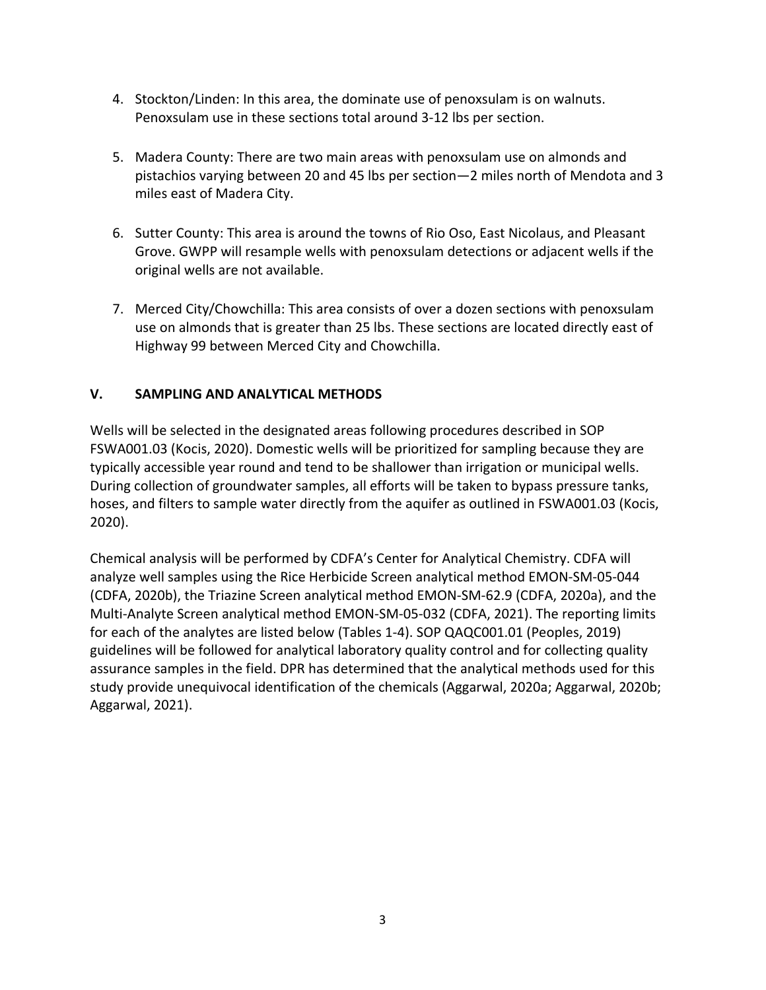- 4. Stockton/Linden: In this area, the dominate use of penoxsulam is on walnuts. Penoxsulam use in these sections total around 3-12 lbs per section.
- 5. Madera County: There are two main areas with penoxsulam use on almonds and pistachios varying between 20 and 45 lbs per section—2 miles north of Mendota and 3 miles east of Madera City.
- 6. Sutter County: This area is around the towns of Rio Oso, East Nicolaus, and Pleasant Grove. GWPP will resample wells with penoxsulam detections or adjacent wells if the original wells are not available.
- 7. Merced City/Chowchilla: This area consists of over a dozen sections with penoxsulam use on almonds that is greater than 25 lbs. These sections are located directly east of Highway 99 between Merced City and Chowchilla.

### **V. SAMPLING AND ANALYTICAL METHODS**

Wells will be selected in the designated areas following procedures described in SOP FSWA001.03 (Kocis, 2020). Domestic wells will be prioritized for sampling because they are typically accessible year round and tend to be shallower than irrigation or municipal wells. During collection of groundwater samples, all efforts will be taken to bypass pressure tanks, hoses, and filters to sample water directly from the aquifer as outlined in FSWA001.03 (Kocis, 2020).

Chemical analysis will be performed by CDFA's Center for Analytical Chemistry. CDFA will analyze well samples using the Rice Herbicide Screen analytical method EMON-SM-05-044 (CDFA, 2020b), the Triazine Screen analytical method EMON-SM-62.9 (CDFA, 2020a), and the Multi-Analyte Screen analytical method EMON-SM-05-032 (CDFA, 2021). The reporting limits for each of the analytes are listed below (Tables 1-4). SOP QAQC001.01 (Peoples, 2019) guidelines will be followed for analytical laboratory quality control and for collecting quality assurance samples in the field. DPR has determined that the analytical methods used for this study provide unequivocal identification of the chemicals (Aggarwal, 2020a; Aggarwal, 2020b; Aggarwal, 2021).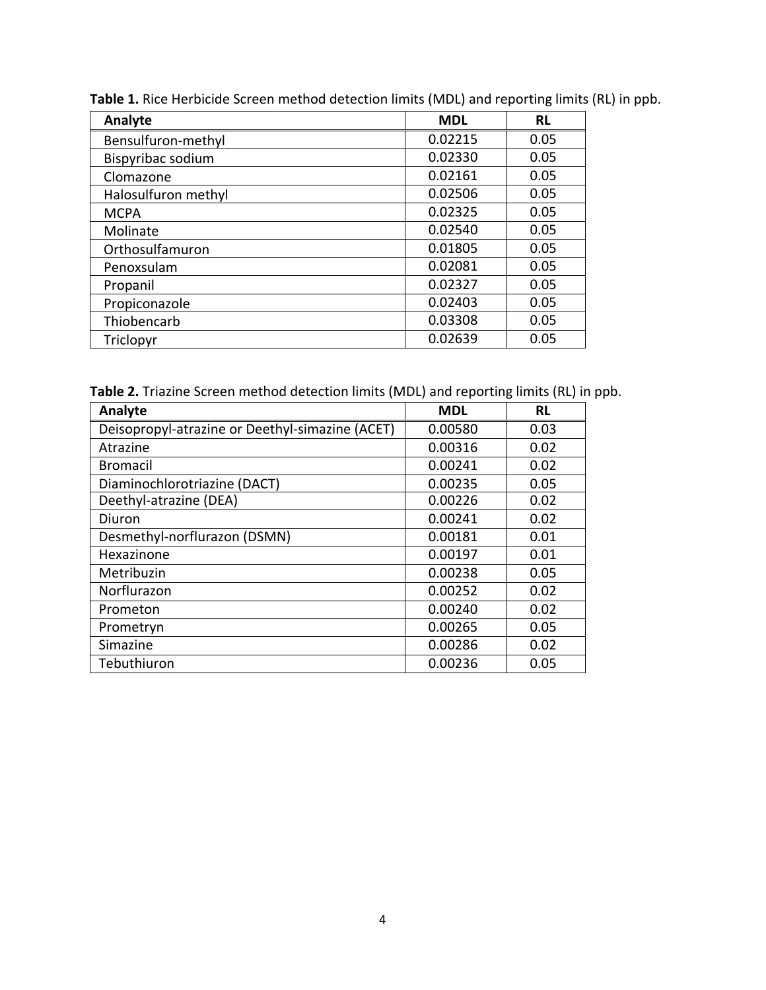| Analyte             | <b>MDL</b> | <b>RL</b> |
|---------------------|------------|-----------|
| Bensulfuron-methyl  | 0.02215    | 0.05      |
| Bispyribac sodium   | 0.02330    | 0.05      |
| Clomazone           | 0.02161    | 0.05      |
| Halosulfuron methyl | 0.02506    | 0.05      |
| <b>MCPA</b>         | 0.02325    | 0.05      |
| Molinate            | 0.02540    | 0.05      |
| Orthosulfamuron     | 0.01805    | 0.05      |
| Penoxsulam          | 0.02081    | 0.05      |
| Propanil            | 0.02327    | 0.05      |
| Propiconazole       | 0.02403    | 0.05      |
| Thiobencarb         | 0.03308    | 0.05      |
| Triclopyr           | 0.02639    | 0.05      |

**Table 1.** Rice Herbicide Screen method detection limits (MDL) and reporting limits (RL) in ppb.

**Table 2.** Triazine Screen method detection limits (MDL) and reporting limits (RL) in ppb.

| Analyte                                         | <b>MDL</b> | <b>RL</b> |
|-------------------------------------------------|------------|-----------|
| Deisopropyl-atrazine or Deethyl-simazine (ACET) | 0.00580    | 0.03      |
| Atrazine                                        | 0.00316    | 0.02      |
| <b>Bromacil</b>                                 | 0.00241    | 0.02      |
| Diaminochlorotriazine (DACT)                    | 0.00235    | 0.05      |
| Deethyl-atrazine (DEA)                          | 0.00226    | 0.02      |
| Diuron                                          | 0.00241    | 0.02      |
| Desmethyl-norflurazon (DSMN)                    | 0.00181    | 0.01      |
| Hexazinone                                      | 0.00197    | 0.01      |
| Metribuzin                                      | 0.00238    | 0.05      |
| Norflurazon                                     | 0.00252    | 0.02      |
| Prometon                                        | 0.00240    | 0.02      |
| Prometryn                                       | 0.00265    | 0.05      |
| Simazine                                        | 0.00286    | 0.02      |
| Tebuthiuron                                     | 0.00236    | 0.05      |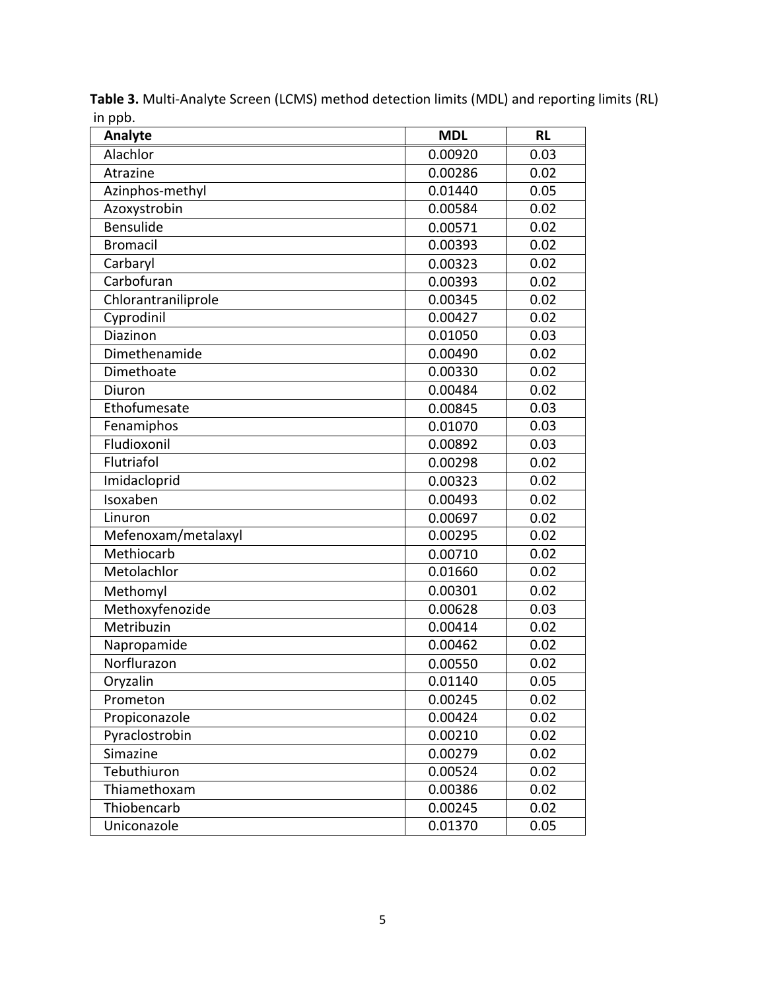| Analyte             | <b>MDL</b> | <b>RL</b> |
|---------------------|------------|-----------|
| Alachlor            | 0.00920    | 0.03      |
| Atrazine            | 0.00286    | 0.02      |
| Azinphos-methyl     | 0.01440    | 0.05      |
| Azoxystrobin        | 0.00584    | 0.02      |
| Bensulide           | 0.00571    | 0.02      |
| <b>Bromacil</b>     | 0.00393    | 0.02      |
| Carbaryl            | 0.00323    | 0.02      |
| Carbofuran          | 0.00393    | 0.02      |
| Chlorantraniliprole | 0.00345    | 0.02      |
| Cyprodinil          | 0.00427    | 0.02      |
| Diazinon            | 0.01050    | 0.03      |
| Dimethenamide       | 0.00490    | 0.02      |
| Dimethoate          | 0.00330    | 0.02      |
| Diuron              | 0.00484    | 0.02      |
| Ethofumesate        | 0.00845    | 0.03      |
| Fenamiphos          | 0.01070    | 0.03      |
| Fludioxonil         | 0.00892    | 0.03      |
| Flutriafol          | 0.00298    | 0.02      |
| Imidacloprid        | 0.00323    | 0.02      |
| Isoxaben            | 0.00493    | 0.02      |
| Linuron             | 0.00697    | 0.02      |
| Mefenoxam/metalaxyl | 0.00295    | 0.02      |
| Methiocarb          | 0.00710    | 0.02      |
| Metolachlor         | 0.01660    | 0.02      |
| Methomyl            | 0.00301    | 0.02      |
| Methoxyfenozide     | 0.00628    | 0.03      |
| Metribuzin          | 0.00414    | 0.02      |
| Napropamide         | 0.00462    | 0.02      |
| Norflurazon         | 0.00550    | 0.02      |
| Oryzalin            | 0.01140    | 0.05      |
| Prometon            | 0.00245    | 0.02      |
| Propiconazole       | 0.00424    | 0.02      |
| Pyraclostrobin      | 0.00210    | 0.02      |
| Simazine            | 0.00279    | 0.02      |
| Tebuthiuron         | 0.00524    | 0.02      |
| Thiamethoxam        | 0.00386    | 0.02      |
| Thiobencarb         | 0.00245    | 0.02      |
| Uniconazole         | 0.01370    | 0.05      |

**Table 3.** Multi-Analyte Screen (LCMS) method detection limits (MDL) and reporting limits (RL) in ppb.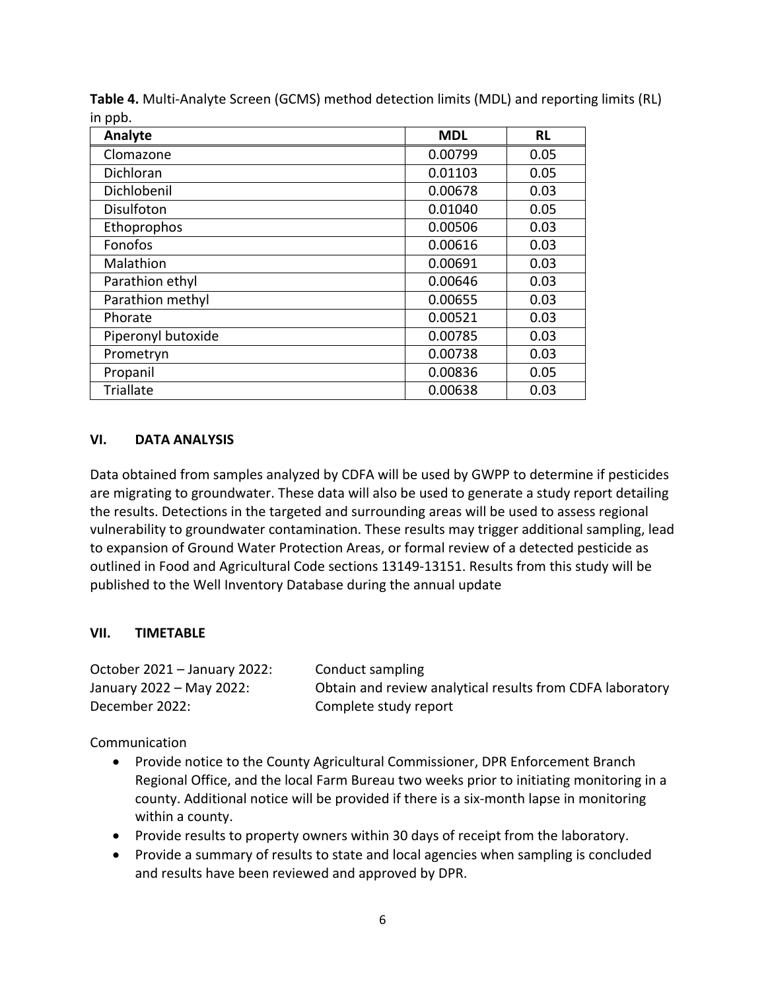| Analyte            | <b>MDL</b> | <b>RL</b> |
|--------------------|------------|-----------|
| Clomazone          | 0.00799    | 0.05      |
| Dichloran          | 0.01103    | 0.05      |
| Dichlobenil        | 0.00678    | 0.03      |
| Disulfoton         | 0.01040    | 0.05      |
| Ethoprophos        | 0.00506    | 0.03      |
| Fonofos            | 0.00616    | 0.03      |
| Malathion          | 0.00691    | 0.03      |
| Parathion ethyl    | 0.00646    | 0.03      |
| Parathion methyl   | 0.00655    | 0.03      |
| Phorate            | 0.00521    | 0.03      |
| Piperonyl butoxide | 0.00785    | 0.03      |
| Prometryn          | 0.00738    | 0.03      |
| Propanil           | 0.00836    | 0.05      |
| <b>Triallate</b>   | 0.00638    | 0.03      |

**Table 4.** Multi-Analyte Screen (GCMS) method detection limits (MDL) and reporting limits (RL) in ppb.

#### **VI. DATA ANALYSIS**

Data obtained from samples analyzed by CDFA will be used by GWPP to determine if pesticides are migrating to groundwater. These data will also be used to generate a study report detailing the results. Detections in the targeted and surrounding areas will be used to assess regional vulnerability to groundwater contamination. These results may trigger additional sampling, lead to expansion of Ground Water Protection Areas, or formal review of a detected pesticide as outlined in Food and Agricultural Code sections 13149-13151. Results from this study will be published to the Well Inventory Database during the annual update

#### **VII. TIMETABLE**

| October 2021 - January 2022: | Conduct sampling                                          |
|------------------------------|-----------------------------------------------------------|
| January 2022 – May 2022:     | Obtain and review analytical results from CDFA laboratory |
| December 2022:               | Complete study report                                     |

Communication

- Provide notice to the County Agricultural Commissioner, DPR Enforcement Branch Regional Office, and the local Farm Bureau two weeks prior to initiating monitoring in a county. Additional notice will be provided if there is a six-month lapse in monitoring within a county.
- Provide results to property owners within 30 days of receipt from the laboratory.
- Provide a summary of results to state and local agencies when sampling is concluded and results have been reviewed and approved by DPR.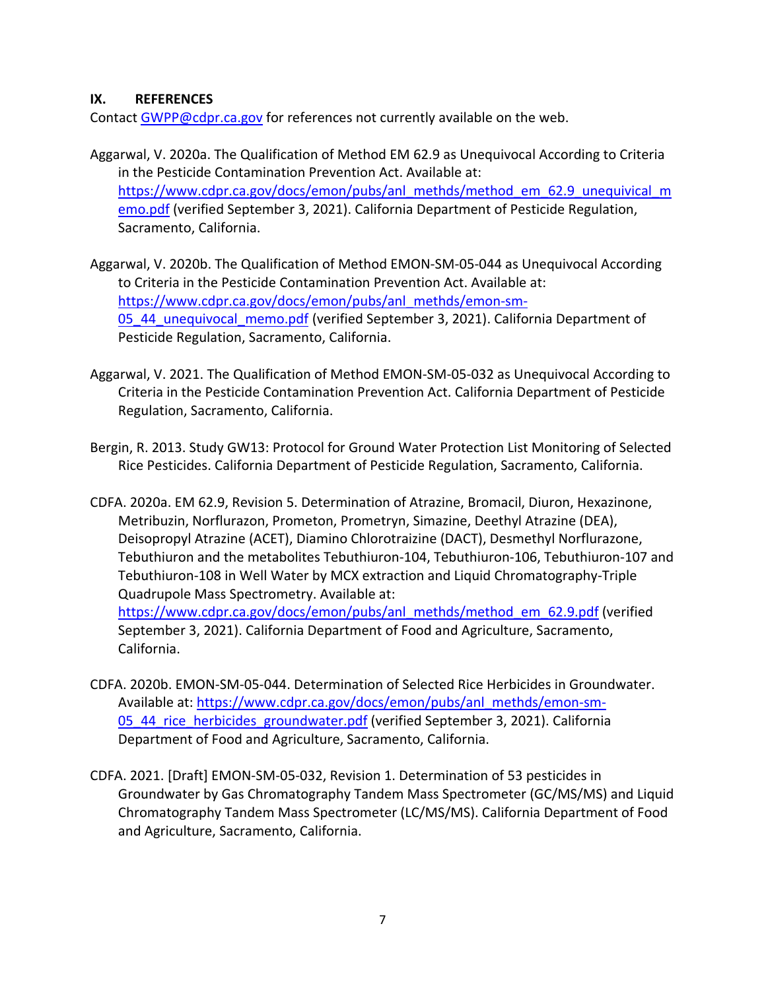#### **IX. REFERENCES**

Contact [GWPP@cdpr.ca.gov](mailto:GWPP@cdpr.ca.gov) for references not currently available on the web.

- Aggarwal, V. 2020a. The Qualification of Method EM 62.9 as Unequivocal According to Criteria in the Pesticide Contamination Prevention Act. Available at: [https://www.cdpr.ca.gov/docs/emon/pubs/anl\\_methds/method\\_em\\_62.9\\_unequivical\\_m](https://www.cdpr.ca.gov/docs/emon/pubs/anl_methds/method_em_62.9_unequivical_memo.pdf) [emo.pdf](https://www.cdpr.ca.gov/docs/emon/pubs/anl_methds/method_em_62.9_unequivical_memo.pdf) (verified September 3, 2021). California Department of Pesticide Regulation, Sacramento, California.
- Aggarwal, V. 2020b. The Qualification of Method EMON-SM-05-044 as Unequivocal According to Criteria in the Pesticide Contamination Prevention Act. Available at: [https://www.cdpr.ca.gov/docs/emon/pubs/anl\\_methds/emon-sm-](https://www.cdpr.ca.gov/docs/emon/pubs/anl_methds/emon-sm-05_44_unequivocal_memo.pdf)[05\\_44\\_unequivocal\\_memo.pdf](https://www.cdpr.ca.gov/docs/emon/pubs/anl_methds/emon-sm-05_44_unequivocal_memo.pdf) (verified September 3, 2021). California Department of Pesticide Regulation, Sacramento, California.
- Aggarwal, V. 2021. The Qualification of Method EMON-SM-05-032 as Unequivocal According to Criteria in the Pesticide Contamination Prevention Act. California Department of Pesticide Regulation, Sacramento, California.
- Bergin, R. 2013. Study GW13: Protocol for Ground Water Protection List Monitoring of Selected Rice Pesticides. California Department of Pesticide Regulation, Sacramento, California.
- CDFA. 2020a. EM 62.9, Revision 5. Determination of Atrazine, Bromacil, Diuron, Hexazinone, Metribuzin, Norflurazon, Prometon, Prometryn, Simazine, Deethyl Atrazine (DEA), Deisopropyl Atrazine (ACET), Diamino Chlorotraizine (DACT), Desmethyl Norflurazone, Tebuthiuron and the metabolites Tebuthiuron-104, Tebuthiuron-106, Tebuthiuron-107 and Tebuthiuron-108 in Well Water by MCX extraction and Liquid Chromatography-Triple Quadrupole Mass Spectrometry. Available at: [https://www.cdpr.ca.gov/docs/emon/pubs/anl\\_methds/method\\_em\\_62.9.pdf](https://www.cdpr.ca.gov/docs/emon/pubs/anl_methds/method_em_62.9.pdf) (verified September 3, 2021). California Department of Food and Agriculture, Sacramento, California.
- CDFA. 2020b. EMON-SM-05-044. Determination of Selected Rice Herbicides in Groundwater. Available at: [https://www.cdpr.ca.gov/docs/emon/pubs/anl\\_methds/emon-sm-](https://www.cdpr.ca.gov/docs/emon/pubs/anl_methds/emon-sm-05_44_rice_herbicides_groundwater.pdf)[05\\_44\\_rice\\_herbicides\\_groundwater.pdf](https://www.cdpr.ca.gov/docs/emon/pubs/anl_methds/emon-sm-05_44_rice_herbicides_groundwater.pdf) (verified September 3, 2021). California Department of Food and Agriculture, Sacramento, California.
- CDFA. 2021. [Draft] EMON-SM-05-032, Revision 1. Determination of 53 pesticides in Groundwater by Gas Chromatography Tandem Mass Spectrometer (GC/MS/MS) and Liquid Chromatography Tandem Mass Spectrometer (LC/MS/MS). California Department of Food and Agriculture, Sacramento, California.